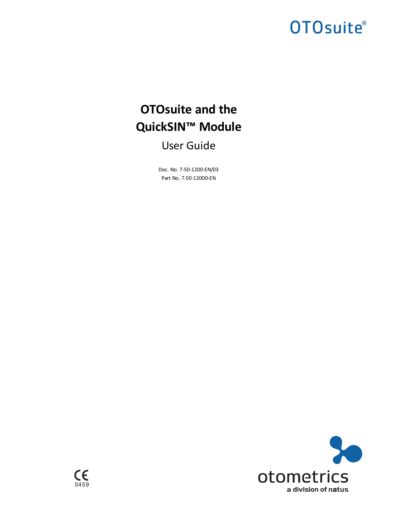# **OTOsuite®**

# **OTOsuite and the QuickSIN™ Module**

User Guide

Doc. No. 7-50-1200-EN/03 Part No. 7-50-12000-EN



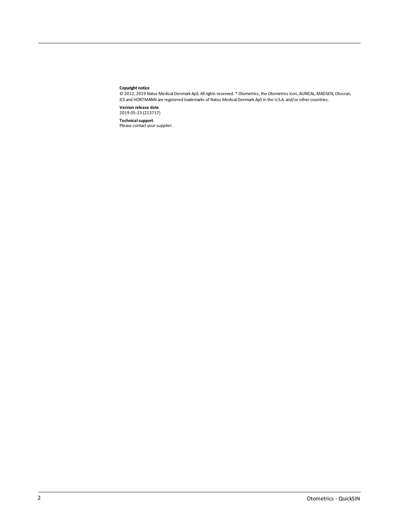#### **Copyright notice**

© 2012, 2019 Natus Medical Denmark ApS. Allrights reserved. ® Otometrics,the Otometrics Icon, AURICAL, MADSEN,Otoscan, ICS and HORTMANN are registered trademarks of Natus Medical Denmark ApS in the U.S.A. and/or other countries.

**Version release date** 2019-05-23 (213717)

**Technical support**<br>Please contact your supplier.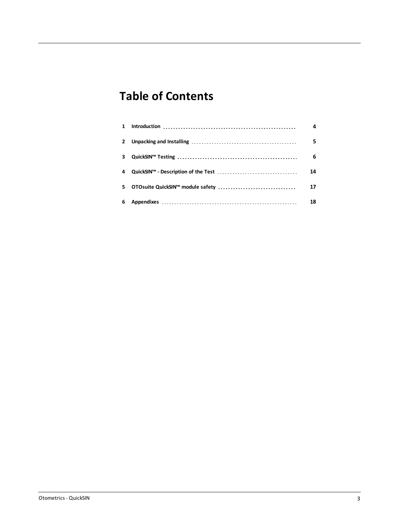## **Table of Contents**

| $\mathbf{1}$ | 4  |
|--------------|----|
| $\mathbf{2}$ | 5  |
| 3            | 6  |
|              | 14 |
| 5.           | 17 |
| 6            | 18 |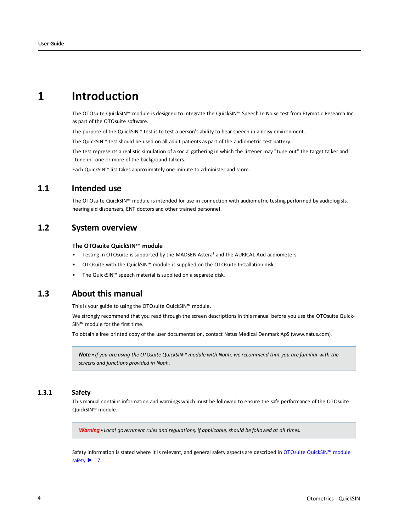## **1 Introduction**

<span id="page-3-0"></span>The OTOsuite QuickSIN™ module is designed to integrate the QuickSIN™ Speech In Noise test from Etymotic Research Inc. as part of the OTOsuite software.

The purpose of the QuickSIN™ test is to test a person's ability to hear speech in a noisy environment.

The QuickSIN™ test should be used on all adult patients as part of the audiometric test battery.

The test represents a realistic simulation of a social gathering in which the listener may "tune out" the target talker and "tune in" one or more of the background talkers.

Each QuickSIN™ list takes approximately one minute to administer and score.

## **1.1 Intended use**

The OTOsuite QuickSIN™ module is intended for use in connection with audiometric testing performed by audiologists, hearing aid dispensers, ENT doctors and other trained personnel.

#### **1.2 System overview**

#### **The OTOsuite QuickSIN™ module**

- Testing in OTOsuite is supported by the MADSEN Astera<sup>2</sup> and the AURICAL Aud audiometers.
- OTOsuite with the QuickSIN™ module is supplied on the OTOsuite Installation disk.
- The QuickSIN™ speech material is supplied on a separate disk.

## **1.3 About this manual**

This is your guide to using the OTOsuite QuickSIN™ module.

We strongly recommend that you read through the screen descriptions in this manual before you use the OTOsuite Quick-SIN™ module for the first time.

To obtain a free printed copy of the user documentation, contact Natus Medical Denmark ApS (www.natus.com).

Note • If you are using the OTOsuite QuickSIN™ module with Noah, we recommend that you are familiar with the *screens and functions provided in Noah.*

#### **1.3.1 Safety**

This manual contains information and warnings which must be followed to ensure the safe performance of the OTOsuite QuickSIN™ module.

*Warning• Local government rules and regulations, if applicable, should be followed at all times.*

Safety information is stated where it is relevant, and general safety aspects are described in OTOsuite [QuickSIN™](#page-16-0) module [safety](#page-16-0)  $\blacktriangleright$  17.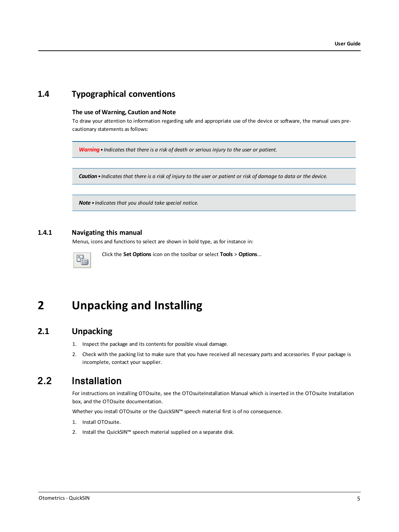## **1.4 Typographical conventions**

#### **The use of Warning, Caution and Note**

To draw your attention to information regarding safe and appropriate use of the device or software, the manual uses precautionary statements as follows:

*Warning• Indicates that there is a risk of death or serious injury to the user or patient.*

Caution . Indicates that there is a risk of injury to the user or patient or risk of damage to data or the device.

*Note • Indicates that you should take special notice.*

#### **1.4.1 Navigating this manual**

Menus, icons and functions to select are shown in bold type, as for instance in:

<span id="page-4-0"></span>

Click the **Set Options** icon on the toolbar or select **Tools** > **Options**...

## **2 Unpacking and Installing**

## **2.1 Unpacking**

- 1. Inspect the package and its contents for possible visual damage.
- 2. Check with the packing list to make sure that you have received all necessary parts and accessories. If your package is incomplete, contact your supplier.

## 2.2 Installation

For instructions on installing OTOsuite, see the OTOsuiteInstallation Manual which is inserted in the OTOsuite Installation box, and the OTOsuite documentation.

Whether you install OTOsuite or the QuickSIN™ speech material first is of no consequence.

- 1. Install OTOsuite.
- 2. Install the QuickSIN™ speech material supplied on a separate disk.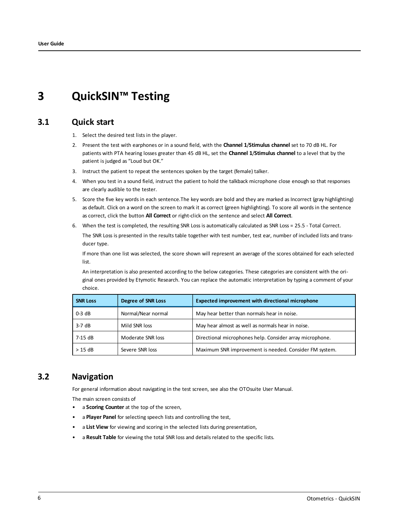## <span id="page-5-0"></span>**3 QuickSIN™ Testing**

## **3.1 Quick start**

- 1. Select the desired test lists in the player.
- 2. Present the test with earphones or in a sound field, with the **Channel 1**/**Stimulus channel** set to 70 dB HL. For patients with PTA hearing losses greater than 45 dB HL, set the **Channel 1**/**Stimulus channel** to a level that by the patient is judged as "Loud but OK."
- 3. Instruct the patient to repeat the sentences spoken by the target (female) talker.
- 4. When you test in a sound field, instruct the patient to hold the talkback microphone close enough so that responses are clearly audible to the tester.
- 5. Score the five key words in each sentence.The key words are bold and they are marked as Incorrect (gray highlighting) as default. Click on a word on the screen to mark it as correct (green highlighting). To score all words in the sentence as correct, click the button **All Correct** or right-click on the sentence and select **All Correct**.
- 6. When the test is completed, the resulting SNR Loss is automatically calculated as SNR Loss = 25.5 Total Correct.

The SNR Loss is presented in the results table together with test number, test ear, number of included lists and transducer type.

If more than one list was selected, the score shown will represent an average of the scores obtained for each selected list.

An interpretation is also presented according to the below categories. These categories are consistent with the original ones provided by Etymotic Research. You can replace the automatic interpretation by typing a comment of your choice.

| <b>SNR Loss</b> | <b>Degree of SNR Loss</b> | <b>Expected improvement with directional microphone</b>  |
|-----------------|---------------------------|----------------------------------------------------------|
| $0-3$ dB        | Normal/Near normal        | May hear better than normals hear in noise.              |
| $3-7$ dB        | Mild SNR loss             | May hear almost as well as normals hear in noise.        |
| 7-15 dB         | Moderate SNR loss         | Directional microphones help. Consider array microphone. |
| $> 15$ dB       | Severe SNR loss           | Maximum SNR improvement is needed. Consider FM system.   |

### **3.2 Navigation**

For general information about navigating in the test screen, see also the OTOsuite User Manual.

The main screen consists of

- a **Scoring Counter** at the top of the screen,
- a **Player Panel** for selecting speech lists and controlling the test,
- a **List View** for viewing and scoring in the selected lists during presentation,
- a **Result Table** for viewing the total SNR loss and details related to the specific lists.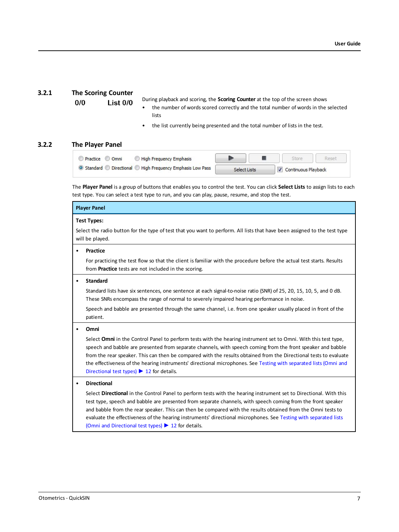#### **3.2.1 The Scoring Counter**

 $0/0$  $List$   $0/0$  During playback and scoring, the **Scoring Counter** at the top of the screen shows

- the number of words scored correctly and the total number of words in the selected lists
- the list currently being presented and the total number of lists in the test.

#### **3.2.2 The Player Panel**

| High Frequency Emphasis<br>Practice O Omni                  |              | Reset               |
|-------------------------------------------------------------|--------------|---------------------|
| ◎ Standard ● Directional ● High Frequency Emphasis Low Pass | Select Lists | Continuous Playback |

The **Player Panel** is a group of buttons that enables you to control the test. You can click **Select Lists** to assign lists to each test type. You can select a test type to run, and you can play, pause, resume, and stop the test.

#### **Player Panel**

#### **Test Types:**

Select the radio button for the type of test that you want to perform. All lists that have been assigned to the test type will be played.

#### • **Practice**

For practicing the test flow so that the client is familiar with the procedure before the actual test starts. Results from **Practice** tests are not included in the scoring.

#### • **Standard**

Standard lists have six sentences, one sentence at each signal-to-noise ratio (SNR) of 25, 20, 15, 10, 5, and 0 dB. These SNRs encompass the range of normal to severely impaired hearing performance in noise.

Speech and babble are presented through the same channel, i.e. from one speaker usually placed in front of the patient.

#### • **Omni**

Select **Omni** in the Control Panel to perform tests with the hearing instrument set to Omni. With this test type, speech and babble are presented from separate channels, with speech coming from the front speaker and babble from the rear speaker. This can then be compared with the results obtained from the Directional tests to evaluate the effectiveness of the hearing instruments' directional microphones. See Testing with [separated](#page-11-0) lists (Omni and [Directional](#page-11-0) test types)  $\triangleright$  12 for details.

#### • **Directional**

Select **Directional** in the Control Panel to perform tests with the hearing instrument set to Directional. With this test type, speech and babble are presented from separate channels, with speech coming from the front speaker and babble from the rear speaker. This can then be compared with the results obtained from the Omni tests to evaluate the effectiveness of the hearing instruments' directional microphones. See Testing with [separated](#page-11-0) lists (Omni and [Directional](#page-11-0) test types) ► 12 for details.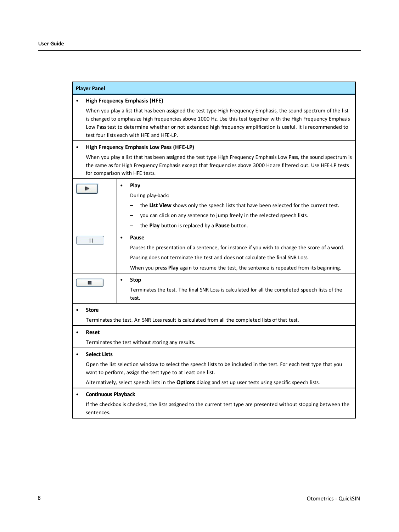| <b>Player Panel</b>                     |                                                                                                                                                                                                                                                                                                                                                                                                      |  |  |  |  |  |  |  |
|-----------------------------------------|------------------------------------------------------------------------------------------------------------------------------------------------------------------------------------------------------------------------------------------------------------------------------------------------------------------------------------------------------------------------------------------------------|--|--|--|--|--|--|--|
|                                         | High Frequency Emphasis (HFE)                                                                                                                                                                                                                                                                                                                                                                        |  |  |  |  |  |  |  |
|                                         | When you play a list that has been assigned the test type High Frequency Emphasis, the sound spectrum of the list<br>is changed to emphasize high frequencies above 1000 Hz. Use this test together with the High Frequency Emphasis<br>Low Pass test to determine whether or not extended high frequency amplification is useful. It is recommended to<br>test four lists each with HFE and HFE-LP. |  |  |  |  |  |  |  |
|                                         | High Frequency Emphasis Low Pass (HFE-LP)                                                                                                                                                                                                                                                                                                                                                            |  |  |  |  |  |  |  |
|                                         | When you play a list that has been assigned the test type High Frequency Emphasis Low Pass, the sound spectrum is<br>the same as for High Frequency Emphasis except that frequencies above 3000 Hz are filtered out. Use HFE-LP tests<br>for comparison with HFE tests.                                                                                                                              |  |  |  |  |  |  |  |
| ►                                       | Play<br>٠                                                                                                                                                                                                                                                                                                                                                                                            |  |  |  |  |  |  |  |
|                                         | During play-back:                                                                                                                                                                                                                                                                                                                                                                                    |  |  |  |  |  |  |  |
|                                         | the List View shows only the speech lists that have been selected for the current test.                                                                                                                                                                                                                                                                                                              |  |  |  |  |  |  |  |
|                                         | you can click on any sentence to jump freely in the selected speech lists.                                                                                                                                                                                                                                                                                                                           |  |  |  |  |  |  |  |
|                                         | the <b>Play</b> button is replaced by a <b>Pause</b> button.                                                                                                                                                                                                                                                                                                                                         |  |  |  |  |  |  |  |
| п                                       | Pause<br>$\bullet$<br>Pauses the presentation of a sentence, for instance if you wish to change the score of a word.                                                                                                                                                                                                                                                                                 |  |  |  |  |  |  |  |
|                                         | Pausing does not terminate the test and does not calculate the final SNR Loss.                                                                                                                                                                                                                                                                                                                       |  |  |  |  |  |  |  |
|                                         | When you press <b>Play</b> again to resume the test, the sentence is repeated from its beginning.                                                                                                                                                                                                                                                                                                    |  |  |  |  |  |  |  |
| п                                       | <b>Stop</b><br>Terminates the test. The final SNR Loss is calculated for all the completed speech lists of the<br>test.                                                                                                                                                                                                                                                                              |  |  |  |  |  |  |  |
| <b>Store</b>                            |                                                                                                                                                                                                                                                                                                                                                                                                      |  |  |  |  |  |  |  |
|                                         | Terminates the test. An SNR Loss result is calculated from all the completed lists of that test.                                                                                                                                                                                                                                                                                                     |  |  |  |  |  |  |  |
| Reset                                   |                                                                                                                                                                                                                                                                                                                                                                                                      |  |  |  |  |  |  |  |
|                                         | Terminates the test without storing any results.                                                                                                                                                                                                                                                                                                                                                     |  |  |  |  |  |  |  |
| <b>Select Lists</b><br>$\bullet$        |                                                                                                                                                                                                                                                                                                                                                                                                      |  |  |  |  |  |  |  |
|                                         | Open the list selection window to select the speech lists to be included in the test. For each test type that you<br>want to perform, assign the test type to at least one list.                                                                                                                                                                                                                     |  |  |  |  |  |  |  |
|                                         | Alternatively, select speech lists in the <b>Options</b> dialog and set up user tests using specific speech lists.                                                                                                                                                                                                                                                                                   |  |  |  |  |  |  |  |
| <b>Continuous Playback</b><br>$\bullet$ |                                                                                                                                                                                                                                                                                                                                                                                                      |  |  |  |  |  |  |  |
| sentences.                              | If the checkbox is checked, the lists assigned to the current test type are presented without stopping between the                                                                                                                                                                                                                                                                                   |  |  |  |  |  |  |  |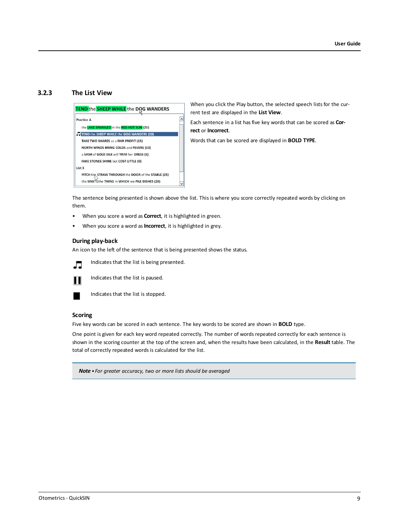#### **3.2.3 The List View**



When you click the Play button, the selected speech lists for the current test are displayed in the **List View**.

Each sentence in a list has five key words that can be scored as **Correct** or **Incorrect**.

Words that can be scored are displayed in **BOLD TYPE**.

The sentence being presented is shown above the list. This is where you score correctly repeated words by clicking on them.

- When you score a word as **Correct**, it is highlighted in green.
- When you score a word as **Incorrect**, it is highlighted in grey.

#### **During play-back**

An icon to the left of the sentence that is being presented shows the status.



Indicates that the list is being presented.



Indicates that the list is paused.



Indicates that the list is stopped.

#### **Scoring**

Five key words can be scored in each sentence. The key words to be scored are shown in **BOLD** type.

One point is given for each key word repeated correctly. The number of words repeated correctly for each sentence is shown in the scoring counter at the top of the screen and, when the results have been calculated, in the **Result** table. The total of correctly repeated words is calculated for the list.

*Note • For greater accuracy, two or more lists should be averaged*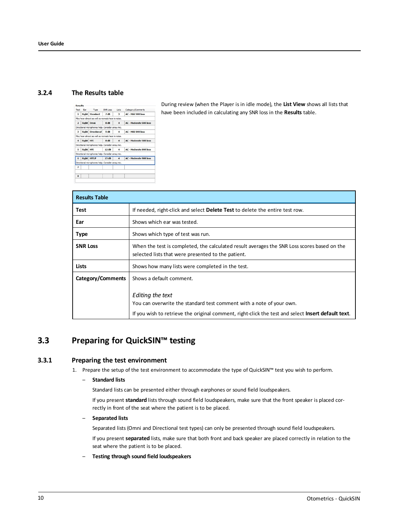#### **3.2.4 The Results table**

| Test           | Ear              | Type                                              | SNR Loss | Lists          | Category/Comments             |
|----------------|------------------|---------------------------------------------------|----------|----------------|-------------------------------|
| 1              |                  | <b>Right Standard</b>                             | 7dB      | 3              | <b>AC - Mild SNR loss</b>     |
|                |                  | May hear almost as well as normals hear in noise. |          |                |                               |
| $\overline{ }$ |                  | Right Omni                                        | 8 dB     | $\overline{a}$ | <b>AC - Moderate SNR loss</b> |
|                |                  | Directional microphones help. Consider array mic. |          |                |                               |
| 3              |                  | <b>Right Directional</b>                          | 5 dB     | 4              | <b>AC - Mild SNR loss</b>     |
|                |                  | May hear almost as well as normals hear in noise. |          |                |                               |
| $\mathbf{A}$   | <b>Right HFE</b> |                                                   | 8 dB     | $\mathbf{A}$   | <b>AC - Moderate SNR loss</b> |
|                |                  | Directional microphones help. Consider array mic. |          |                |                               |
| s              | Right HFE        |                                                   | 12 dB    | $\Delta$       | <b>AC - Moderate SNR loss</b> |
|                |                  | Directional microphones help. Consider array mic. |          |                |                               |
| 6              |                  | <b>Right HFELP</b>                                | 15dB     | 4              | <b>AC - Moderate SNR loss</b> |
|                |                  | Directional microphones help. Consider array mic. |          |                |                               |
| $\overline{ }$ |                  |                                                   |          |                |                               |
|                |                  |                                                   |          |                |                               |
| 8              |                  |                                                   |          |                |                               |

During review (when the Player is in idle mode), the **List View** shows all lists that have been included in calculating any SNR loss in the **Results** table.

| <b>Results Table</b> |                                                                                                                                                                                                |
|----------------------|------------------------------------------------------------------------------------------------------------------------------------------------------------------------------------------------|
| Test                 | If needed, right-click and select Delete Test to delete the entire test row.                                                                                                                   |
| Ear                  | Shows which ear was tested.                                                                                                                                                                    |
| <b>Type</b>          | Shows which type of test was run.                                                                                                                                                              |
| <b>SNR Loss</b>      | When the test is completed, the calculated result averages the SNR Loss scores based on the<br>selected lists that were presented to the patient.                                              |
| Lists                | Shows how many lists were completed in the test.                                                                                                                                               |
| Category/Comments    | Shows a default comment.                                                                                                                                                                       |
|                      | Editing the text<br>You can overwrite the standard test comment with a note of your own.<br>If you wish to retrieve the original comment, right-click the test and select Insert default text. |

## <span id="page-9-0"></span>**3.3 Preparing for QuickSIN™ testing**

#### **3.3.1 Preparing the test environment**

1. Prepare the setup of the test environment to accommodate the type of QuickSIN™ test you wish to perform.

#### – **Standard lists**

Standard lists can be presented either through earphones or sound field loudspeakers.

If you present **standard** lists through sound field loudspeakers, make sure that the front speaker is placed correctly in front of the seat where the patient is to be placed.

#### – **Separated lists**

Separated lists (Omni and Directional test types) can only be presented through sound field loudspeakers.

If you present **separated** lists, make sure that both front and back speaker are placed correctly in relation to the seat where the patient is to be placed.

– **Testing through sound field loudspeakers**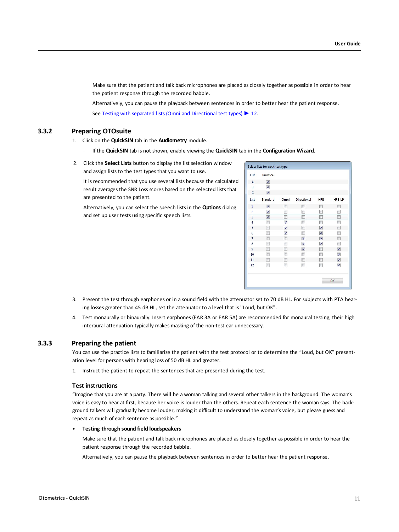Make sure that the patient and talk back microphones are placed as closely together as possible in order to hear the patient response through the recorded babble.

Alternatively, you can pause the playback between sentences in order to better hear the patient response. See Testing with separated lists (Omni and [Directional](#page-11-0) test types) ► 12.

#### **3.3.2 Preparing OTOsuite**

- <span id="page-10-0"></span>1. Click on the **QuickSIN** tab in the **Audiometry** module.
	- If the **QuickSIN** tab is not shown, enable viewing the **QuickSIN** tab in the **Configuration Wizard**.
- 2. Click the **Select Lists** button to display the list selection window and assign lists to the test types that you want to use.

It is recommended that you use several lists because the calculated result averages the SNR Loss scores based on the selected lists that are presented to the patient.

Alternatively, you can select the speech lists in the **Options** dialog and set up user tests using specific speech lists.

| Select lists for each test type |                  |                          |                    |                |                  |  |  |  |  |  |
|---------------------------------|------------------|--------------------------|--------------------|----------------|------------------|--|--|--|--|--|
| List                            | Practice         |                          |                    |                |                  |  |  |  |  |  |
| $\overline{A}$                  | Ø                |                          |                    |                |                  |  |  |  |  |  |
| B                               | $\boldsymbol{z}$ |                          |                    |                |                  |  |  |  |  |  |
| C                               | $\mathcal{I}$    |                          |                    |                |                  |  |  |  |  |  |
| List                            | Standard         | Omni                     | <b>Directional</b> | <b>HFE</b>     | HFE-LP           |  |  |  |  |  |
| $\mathbf{1}$                    | $\mathcal{L}$    | 同                        | г                  | 同              | F                |  |  |  |  |  |
| $\overline{2}$                  | Ø                | П                        | Г                  | П              | П                |  |  |  |  |  |
| 3                               | $\sigma$         | F                        | г                  | $\Box$         | F                |  |  |  |  |  |
| 4                               | г                | ☑                        | г                  | П              | П                |  |  |  |  |  |
| 5                               | m                | $\overline{\mathcal{L}}$ | П                  | $\overline{a}$ | m                |  |  |  |  |  |
| 6                               | г                | Ø                        | П                  | Ø              | П                |  |  |  |  |  |
| $\overline{7}$                  |                  | П                        | $\overline{v}$     | $\overline{u}$ | m                |  |  |  |  |  |
| 8                               | г                | г                        | Ø                  | $\overline{d}$ | П                |  |  |  |  |  |
| 9                               | m                | Г                        | $\overline{v}$     | П              | $\overline{J}$   |  |  |  |  |  |
| 10                              |                  |                          | П                  | П              | Ø                |  |  |  |  |  |
| 11                              |                  |                          | Г                  | m              | $\boldsymbol{z}$ |  |  |  |  |  |
| 12                              |                  | m                        | ▥                  | n              | Ø                |  |  |  |  |  |
|                                 |                  |                          |                    |                |                  |  |  |  |  |  |
|                                 |                  |                          |                    |                | OK               |  |  |  |  |  |

- 3. Present the test through earphones or in a sound field with the attenuator set to 70 dB HL. For subjects with PTA hearing losses greater than 45 dB HL, set the attenuator to a level that is "Loud, but OK".
- <span id="page-10-1"></span>4. Test monaurally or binaurally. Insert earphones (EAR 3A or EAR 5A) are recommended for monaural testing; their high interaural attenuation typically makes masking of the non-test ear unnecessary.

#### **3.3.3 Preparing the patient**

You can use the practice lists to familiarize the patient with the test protocol or to determine the "Loud, but OK" presentation level for persons with hearing loss of 50 dB HL and greater.

1. Instruct the patient to repeat the sentences that are presented during the test.

#### **Test instructions**

"Imagine that you are at a party. There will be a woman talking and several other talkers in the background. The woman's voice is easy to hear at first, because her voice is louder than the others. Repeat each sentence the woman says. The background talkers will gradually become louder, making it difficult to understand the woman's voice, but please guess and repeat as much of each sentence as possible."

#### • **Testing through sound field loudspeakers**

Make sure that the patient and talk back microphones are placed as closely together as possible in order to hear the patient response through the recorded babble.

Alternatively, you can pause the playback between sentences in order to better hear the patient response.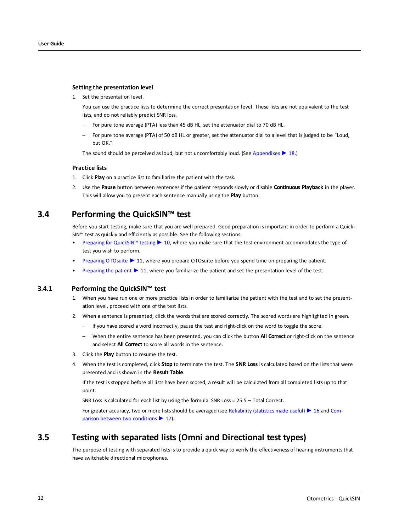#### **Setting the presentation level**

1. Set the presentation level.

You can use the practice lists to determine the correct presentation level. These lists are not equivalent to the test lists, and do not reliably predict SNR loss.

- For pure tone average (PTA) less than 45 dB HL, set the attenuator dial to 70 dB HL.
- For pure tone average (PTA) of 50 dB HL or greater, set the attenuator dial to a level that is judged to be "Loud, but OK"

The sound should be perceived as loud, but not uncomfortably loud. (See [Appendixes](#page-17-0) ► 18.)

#### **Practice lists**

- 1. Click **Play** on a practice list to familiarize the patient with the task.
- 2. Use the **Pause** button between sentences if the patient responds slowly or disable **Continuous Playback** in the player. This will allow you to present each sentence manually using the **Play** button.

## **3.4 Performing the QuickSIN™ test**

Before you start testing, make sure that you are well prepared. Good preparation is important in order to perform a Quick-SIN™ test as quickly and efficiently as possible. See the following sections:

- Preparing for [QuickSIN™](#page-9-0) testing ► 10, where you make sure that the test environment accommodates the type of test you wish to perform.
- [Preparing](#page-10-0) OTOsuite ► 11, where you prepare OTOsuite before you spend time on preparing the patient.
- [Preparing](#page-10-1) the patient ► 11, where you familiarize the patient and set the presentation level of the test.

#### **3.4.1 Performing the QuickSIN™ test**

- 1. When you have run one or more practice lists in order to familiarize the patient with the test and to set the presentation level, proceed with one of the test lists.
- 2. When a sentence is presented, click the words that are scored correctly. The scored words are highlighted in green.
	- If you have scored a word incorrectly, pause the test and right-click on the word to toggle the score.
	- When the entire sentence has been presented, you can click the button **All Correct** or right-click on the sentence and select **All Correct** to score all words in the sentence.
- 3. Click the **Play** button to resume the test.
- 4. When the test is completed, click **Stop** to terminate the test. The **SNR Loss** is calculated based on the lists that were presented and is shown in the **Result Table**.

If the test is stopped before all lists have been scored, a result will be calculated from all completed lists up to that point.

SNR Loss is calculated for each list by using the formula: SNR Loss = 25.5 – Total Correct.

<span id="page-11-0"></span>For greater accuracy, two or more lists should be averaged (see [Reliability](#page-15-0) (statistics made useful) ► 16 and [Com](#page-16-1)parison between two [conditions](#page-16-1) ▶ 17).

## **3.5 Testing with separated lists (Omni and Directional test types)**

The purpose of testing with separated lists is to provide a quick way to verify the effectiveness of hearing instruments that have switchable directional microphones.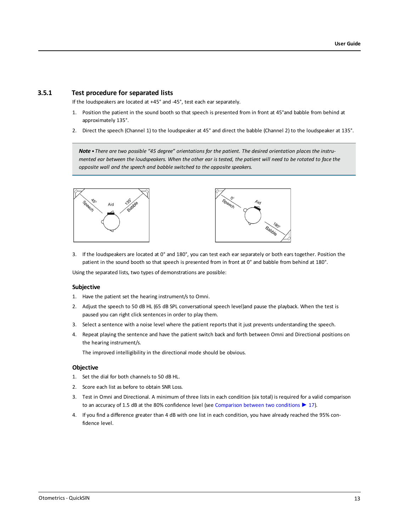#### **3.5.1 Test procedure for separated lists**

If the loudspeakers are located at +45° and -45°, test each ear separately.

- 1. Position the patient in the sound booth so that speech is presented from in front at 45°and babble from behind at approximately 135°.
- 2. Direct the speech (Channel 1) to the loudspeaker at 45° and direct the babble (Channel 2) to the loudspeaker at 135°.

Note • There are two possible "45 degree" orientations for the patient. The desired orientation places the instrumented ear between the loudspeakers. When the other ear is tested, the patient will need to be rotated to face the *opposite wall and the speech and babble switched to the opposite speakers.*





3. If the loudspeakers are located at 0° and 180°, you can test each ear separately or both ears together. Position the patient in the sound booth so that speech is presented from in front at 0° and babble from behind at 180°.

Using the separated lists, two types of demonstrations are possible:

#### **Subjective**

- 1. Have the patient set the hearing instrument/s to Omni.
- 2. Adjust the speech to 50 dB HL (65 dB SPL conversational speech level)and pause the playback. When the test is paused you can right click sentences in order to play them.
- 3. Select a sentence with a noise level where the patient reports that it just prevents understanding the speech.
- 4. Repeat playing the sentence and have the patient switch back and forth between Omni and Directional positions on the hearing instrument/s.

The improved intelligibility in the directional mode should be obvious.

#### **Objective**

- 1. Set the dial for both channels to 50 dB HL.
- 2. Score each list as before to obtain SNR Loss.
- 3. Test in Omni and Directional. A minimum of three lists in each condition (six total) is required for a valid comparison to an accuracy of 1.5 dB at the 80% confidence level (see [Comparison](#page-16-1) between two conditions ► 17).
- 4. If you find a difference greater than 4 dB with one list in each condition, you have already reached the 95% confidence level.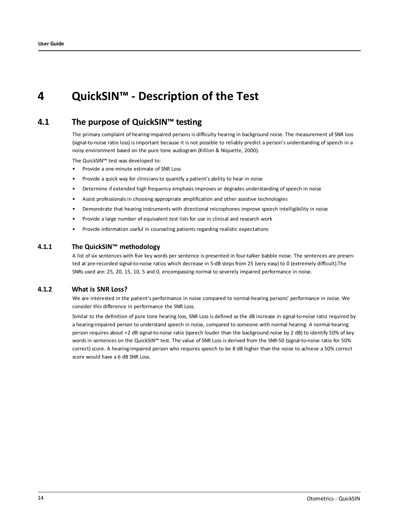## <span id="page-13-0"></span>**4 QuickSIN™ - Description of the Test**

## **4.1 The purpose of QuickSIN™ testing**

The primary complaint of hearing-impaired persons is difficulty hearing in background noise. The measurement of SNR loss (signal-to-noise ratio loss) is important because it is not possible to reliably predict a person's understanding of speech in a noisy environment based on the pure tone audiogram (Killion & Niquette, 2000).

The QuickSIN™ test was developed to:

- Provide a one-minute estimate of SNR Loss
- Provide a quick way for clinicians to quantify a patient's ability to hear in noise
- Determine if extended high frequency emphasis improves or degrades understanding of speech in noise
- Assist professionals in choosing appropriate amplification and other assistive technologies
- Demonstrate that hearing instruments with directional microphones improve speech intelligibility in noise
- Provide a large number of equivalent test lists for use in clinical and research work
- Provide information useful in counseling patients regarding realistic expectations

#### **4.1.1 The QuickSIN™ methodology**

A list of six sentences with five key words per sentence is presented in four-talker babble noise. The sentences are presented at pre-recorded signal-to-noise ratios which decrease in 5-dB steps from 25 (very easy) to 0 (extremely difficult).The SNRs used are: 25, 20, 15, 10, 5 and 0, encompassing normal to severely impaired performance in noise.

#### **4.1.2 What is SNR Loss?**

We are interested in the patient's performance in noise compared to normal-hearing persons' performance in noise. We consider this difference in performance the SNR Loss.

Similar to the definition of pure tone hearing loss, SNR Loss is defined as the dB increase in signal-to-noise ratio required by a hearing-impaired person to understand speech in noise, compared to someone with normal hearing. A normal-hearing person requires about +2 dB signal-to-noise ratio (speech louder than the background noise by 2 dB) to identify 50% of key words in sentences on the QuickSIN™ test. The value of SNR Loss is derived from the SNR-50 (signal-to-noise ratio for 50% correct) score. A hearing-impaired person who requires speech to be 8 dB higher than the noise to achieve a 50% correct score would have a 6 dB SNR Loss.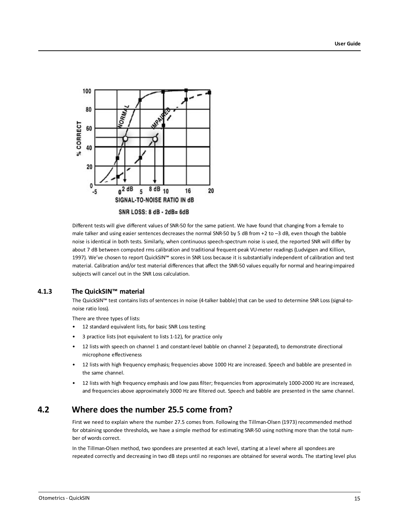

Different tests will give different values of SNR-50 for the same patient. We have found that changing from a female to male talker and using easier sentences decreases the normal SNR-50 by 5 dB from +2 to –3 dB, even though the babble noise is identical in both tests. Similarly, when continuous speech-spectrum noise is used, the reported SNR will differ by about 7 dB between computed rms calibration and traditional frequent-peak VU-meter readings (Ludvigsen and Killion, 1997). We've chosen to report QuickSIN™ scores in SNR Loss because it is substantially independent of calibration and test material. Calibration and/or test material differences that affect the SNR-50 values equally for normal and hearing-impaired subjects will cancel out in the SNR Loss calculation.

#### **4.1.3 The QuickSIN™ material**

The QuickSIN™ test contains lists of sentences in noise (4-talker babble) that can be used to determine SNR Loss (signal-tonoise ratio loss).

There are three types of lists:

- 12 standard equivalent lists, for basic SNR Loss testing
- 3 practice lists (not equivalent to lists 1-12), for practice only
- 12 lists with speech on channel 1 and constant-level babble on channel 2 (separated), to demonstrate directional microphone effectiveness
- 12 lists with high frequency emphasis; frequencies above 1000 Hz are increased. Speech and babble are presented in the same channel.
- 12 lists with high frequency emphasis and low pass filter; frequencies from approximately 1000-2000 Hz are increased, and frequencies above approximately 3000 Hz are filtered out. Speech and babble are presented in the same channel.

## **4.2 Where does the number 25.5 come from?**

First we need to explain where the number 27.5 comes from. Following the Tillman-Olsen (1973) recommended method for obtaining spondee thresholds, we have a simple method for estimating SNR-50 using nothing more than the total number of words correct.

In the Tillman-Olsen method, two spondees are presented at each level, starting at a level where all spondees are repeated correctly and decreasing in two dB steps until no responses are obtained for several words. The starting level plus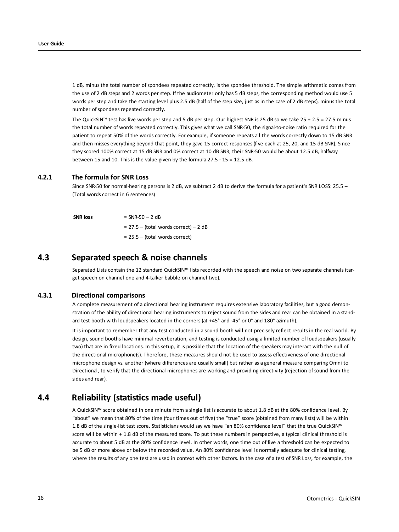1 dB, minus the total number of spondees repeated correctly, is the spondee threshold. The simple arithmetic comes from the use of 2 dB steps and 2 words per step. If the audiometer only has 5 dB steps, the corresponding method would use 5 words per step and take the starting level plus 2.5 dB (half of the step size, just as in the case of 2 dB steps), minus the total number of spondees repeated correctly.

The QuickSIN™ test has five words per step and 5 dB per step. Our highest SNR is 25 dB so we take 25 + 2.5 = 27.5 minus the total number of words repeated correctly. This gives what we call SNR-50, the signal-to-noise ratio required for the patient to repeat 50% of the words correctly. For example, if someone repeats all the words correctly down to 15 dB SNR and then misses everything beyond that point, they gave 15 correct responses (five each at 25, 20, and 15 dB SNR). Since they scored 100% correct at 15 dB SNR and 0% correct at 10 dB SNR, their SNR-50 would be about 12.5 dB, halfway between 15 and 10. This is the value given by the formula 27.5 - 15 = 12.5 dB.

#### **4.2.1 The formula for SNR Loss**

Since SNR-50 for normal-hearing persons is 2 dB, we subtract 2 dB to derive the formula for a patient's SNR LOSS: 25.5 – (Total words correct in 6 sentences)

**SNR**  $\text{loss} = \text{SNR-50} - 2 \text{ dB}$  $= 27.5 -$  (total words correct) – 2 dB

= 25.5 – (total words correct)

### **4.3 Separated speech & noise channels**

Separated Lists contain the 12 standard QuickSIN™ lists recorded with the speech and noise on two separate channels (target speech on channel one and 4-talker babble on channel two).

#### **4.3.1 Directional comparisons**

A complete measurement of a directional hearing instrument requires extensive laboratory facilities, but a good demonstration of the ability of directional hearing instruments to reject sound from the sides and rear can be obtained in a standard test booth with loudspeakers located in the corners (at +45° and -45° or 0° and 180° azimuth).

It is important to remember that any test conducted in a sound booth will not precisely reflect results in the real world. By design, sound booths have minimal reverberation, and testing is conducted using a limited number of loudspeakers (usually two) that are in fixed locations. In this setup, it is possible that the location of the speakers may interact with the null of the directional microphone(s). Therefore, these measures should not be used to assess effectiveness of one directional microphone design vs. another (where differences are usually small) but rather as a general measure comparing Omni to Directional, to verify that the directional microphones are working and providing directivity (rejection of sound from the sides and rear).

## **4.4 Reliability (statistics made useful)**

<span id="page-15-0"></span>A QuickSIN™ score obtained in one minute from a single list is accurate to about 1.8 dB at the 80% confidence level. By "about" we mean that 80% of the time (four times out of five) the "true" score (obtained from many lists) will be within 1.8 dB of the single-list test score. Statisticians would say we have "an 80% confidence level" that the true QuickSIN™ score will be within + 1.8 dB of the measured score. To put these numbers in perspective, a typical clinical threshold is accurate to about 5 dB at the 80% confidence level. In other words, one time out of five a threshold can be expected to be 5 dB or more above or below the recorded value. An 80% confidence level is normally adequate for clinical testing, where the results of any one test are used in context with other factors. In the case of a test of SNR Loss, for example, the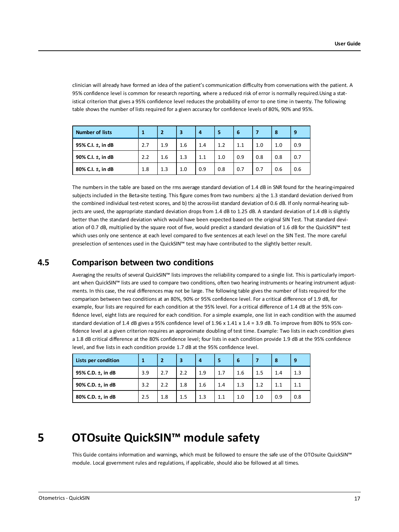clinician will already have formed an idea of the patient's communication difficulty from conversations with the patient. A 95% confidence level is common for research reporting, where a reduced risk of error is normally required.Using a statistical criterion that gives a 95% confidence level reduces the probability of error to one time in twenty. The following table shows the number of lists required for a given accuracy for confidence levels of 80%, 90% and 95%.

| <b>Number of lists</b> |     | $\overline{2}$ | 3   | 4   | 5   | 6   |     | 8   | 9   |
|------------------------|-----|----------------|-----|-----|-----|-----|-----|-----|-----|
| 95% C.I. ±, in dB      | 2.7 | 1.9            | 1.6 | 1.4 | 1.2 | 1.1 | 1.0 | 1.0 | 0.9 |
| 90% C.I. ±, in dB      | 2.2 | 1.6            | 1.3 | 1.1 | 1.0 | 0.9 | 0.8 | 0.8 | 0.7 |
| 80% C.I. ±, in dB      | 1.8 | 1.3            | 1.0 | 0.9 | 0.8 | 0.7 | 0.7 | 0.6 | 0.6 |

The numbers in the table are based on the rms average standard deviation of 1.4 dB in SNR found for the hearing-impaired subjects included in the Beta-site testing. This figure comes from two numbers: a) the 1.3 standard deviation derived from the combined individual test-retest scores, and b) the across-list standard deviation of 0.6 dB. If only normal-hearing subjects are used, the appropriate standard deviation drops from 1.4 dB to 1.25 dB. A standard deviation of 1.4 dB is slightly better than the standard deviation which would have been expected based on the original SIN Test. That standard deviation of 0.7 dB, multiplied by the square root of five, would predict a standard deviation of 1.6 dB for the QuickSIN™ test which uses only one sentence at each level compared to five sentences at each level on the SIN Test. The more careful preselection of sentences used in the QuickSIN™ test may have contributed to the slightly better result.

## **4.5 Comparison between two conditions**

<span id="page-16-1"></span>Averaging the results of several QuickSIN™ lists improves the reliability compared to a single list. This is particularly important when QuickSIN™ lists are used to compare two conditions, often two hearing instruments or hearing instrument adjustments. In this case, the real differences may not be large. The following table gives the number of lists required for the comparison between two conditions at an 80%, 90% or 95% confidence level. For a critical difference of 1.9 dB, for example, four lists are required for each condition at the 95% level. For a critical difference of 1.4 dB at the 95% confidence level, eight lists are required for each condition. For a simple example, one list in each condition with the assumed standard deviation of 1.4 dB gives a 95% confidence level of 1.96 x 1.41 x 1.4 = 3.9 dB. To improve from 80% to 95% confidence level at a given criterion requires an approximate doubling of test time. Example: Two lists in each condition gives a 1.8 dB critical difference at the 80% confidence level; four lists in each condition provide 1.9 dB at the 95% confidence level, and five lists in each condition provide 1.7 dB at the 95% confidence level.

| Lists per condition |     | $\mathbf{2}$ | 3   | 4   | 5   | 6   |     | 8   | 9   |
|---------------------|-----|--------------|-----|-----|-----|-----|-----|-----|-----|
| 95% C.D. ±, in dB   | 3.9 | 2.7          | 2.2 | 1.9 | 1.7 | 1.6 | 1.5 | 1.4 | 1.3 |
| 90% C.D. ±, in dB   | 3.2 | 2.2          | 1.8 | 1.6 | 1.4 | 1.3 | 1.2 | 1.1 | 1.1 |
| 80% C.D. ±, in dB   | 2.5 | 1.8          | 1.5 | 1.3 | 1.1 | 1.0 | 1.0 | 0.9 | 0.8 |

## **5 OTOsuite QuickSIN™ module safety**

<span id="page-16-0"></span>This Guide contains information and warnings, which must be followed to ensure the safe use of the OTOsuite QuickSIN™ module. Local government rules and regulations, if applicable, should also be followed at all times.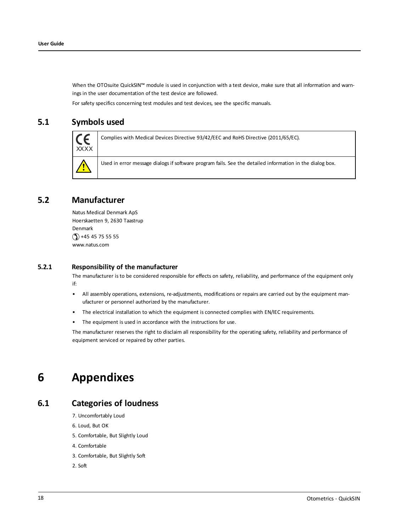When the OTOsuite QuickSIN™ module is used in conjunction with a test device, make sure that all information and warnings in the user documentation of the test device are followed.

For safety specifics concerning test modules and test devices, see the specific manuals.

## **5.1 Symbols used**



Complies with Medical Devices Directive 93/42/EEC and RoHS Directive (2011/65/EC).

Used in error message dialogs if software program fails. See the detailed information in the dialog box.

### **5.2 Manufacturer**

Natus Medical Denmark ApS Hoerskaetten 9, 2630 Taastrup Denmark  $\circ$  +45 45 75 55 55 www.natus.com

#### **5.2.1 Responsibility of the manufacturer**

The manufacturer is to be considered responsible for effects on safety, reliability, and performance of the equipment only if:

- All assembly operations, extensions, re-adjustments, modifications or repairs are carried out by the equipment manufacturer or personnel authorized by the manufacturer.
- The electrical installation to which the equipment is connected complies with EN/IEC requirements.
- The equipment is used in accordance with the instructions for use.

<span id="page-17-0"></span>The manufacturer reserves the right to disclaim all responsibility for the operating safety, reliability and performance of equipment serviced or repaired by other parties.

## **6 Appendixes**

### **6.1 Categories of loudness**

- 7. Uncomfortably Loud
- 6. Loud, But OK
- 5. Comfortable, But Slightly Loud
- 4. Comfortable
- 3. Comfortable, But Slightly Soft
- 2. Soft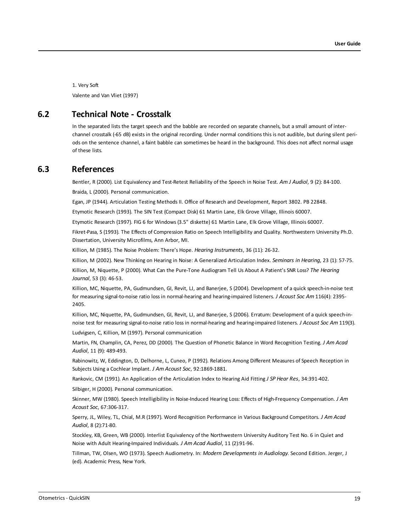1. Very Soft Valente and Van Vliet (1997)

### **6.2 Technical Note - Crosstalk**

In the separated lists the target speech and the babble are recorded on separate channels, but a small amount of interchannel crosstalk (-65 dB) exists in the original recording. Under normal conditions this is not audible, but during silent periods on the sentence channel, a faint babble can sometimes be heard in the background. This does not affect normal usage of these lists.

### **6.3 References**

Bentler, R (2000). List Equivalency and Test-Retest Reliability of the Speech in Noise Test. *Am J Audiol*, 9 (2): 84-100. Braida, L (2000). Personal communication.

Egan, JP (1944). Articulation Testing Methods II. Office of Research and Development, Report 3802. PB 22848.

Etymotic Research (1993). The SIN Test (Compact Disk) 61 Martin Lane, Elk Grove Village, Illinois 60007.

Etymotic Research (1997). FIG 6 for Windows (3.5" diskette) 61 Martin Lane, Elk Grove Village, Illinois 60007.

Fikret-Pasa, S (1993). The Effects of Compression Ratio on Speech Intelligibility and Quality. Northwestern University Ph.D. Dissertation, University Microfilms, Ann Arbor, MI.

Killion, M (1985). The Noise Problem: There's Hope. *Hearing Instruments*, 36 (11): 26-32.

Killion, M (2002). New Thinking on Hearing in Noise: A Generalized Articulation Index. *Seminars in Hearing*, 23 (1): 57-75.

Killion, M, Niquette, P (2000). What Can the Pure-Tone Audiogram Tell Us About A Patient's SNR Loss? *The Hearing Journal*, 53 (3): 46-53.

Killion, MC, Niquette, PA, Gudmundsen, GI, Revit, LJ, and Banerjee, S (2004). Development of a quick speech-in-noise test for measuring signal-to-noise ratio loss in normal-hearing and hearing-impaired listeners. *J Acoust Soc Am* 116(4): 2395- 2405.

Killion, MC, Niquette, PA, Gudmundsen, GI, Revit, LJ, and Banerjee, S (2006). Erratum: Development of a quick speech-innoise test for measuring signal-to-noise ratio loss in normal-hearing and hearing-impaired listeners. *J Acoust Soc Am* 119(3).

Ludvigsen, C, Killion, M (1997). Personal communication

Martin, FN, Champlin, CA, Perez, DD (2000). The Question of Phonetic Balance in Word Recognition Testing. *J Am Acad Audiol*, 11 (9): 489-493.

Rabinowitz, W, Eddington, D, Delhorne, L, Cuneo, P (1992). Relations Among Different Measures of Speech Reception in Subjects Using a Cochlear Implant. *J Am Acoust Soc*, 92:1869-1881.

Rankovic, CM (1991). An Application of the Articulation Index to Hearing Aid Fitting *J SP Hear Res*, 34:391-402.

Silbiger, H (2000). Personal communication.

Skinner, MW (1980). Speech Intelligibility in Noise-Induced Hearing Loss: Effects of High-Frequency Compensation. *J Am Acoust Soc*, 67:306-317.

Sperry, JL, Wiley, TL, Chial, M.R (1997). Word Recognition Performance in Various Background Competitors. *J Am Acad Audiol*, 8 (2):71-80.

Stockley, KB, Green, WB (2000). Interlist Equivalency of the Northwestern University Auditory Test No. 6 in Quiet and Noise with Adult Hearing-Impaired Individuals. *J Am Acad Audiol*, 11 (2):91-96.

Tillman, TW, Olsen, WO (1973). Speech Audiometry. In: *Modern Developments in Audiology*. Second Edition. Jerger, J (ed). Academic Press, New York.